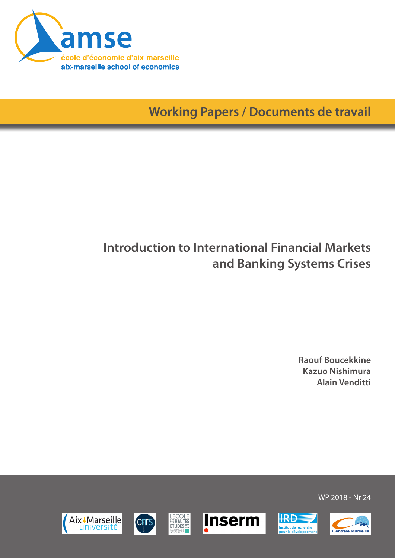

**Working Papers / Documents de travail**

# **Introduction to International Financial Markets and Banking Systems Crises**

**Raouf Boucekkine Kazuo Nishimura Alain Venditti**

WP 2018 - Nr 24

**IRD** 

nstitut de recherche<br>pour le développeme







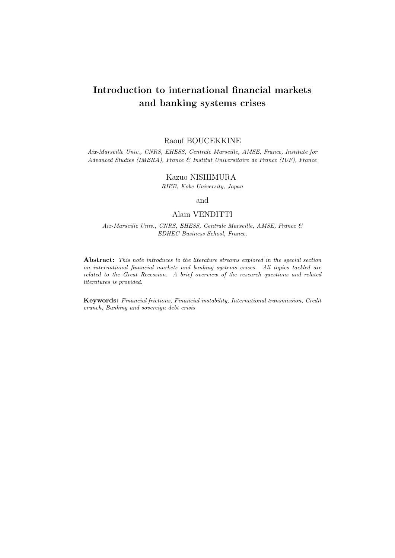# Introduction to international financial markets and banking systems crises

## Raouf BOUCEKKINE

Aix-Marseille Univ., CNRS, EHESS, Centrale Marseille, AMSE, France, Institute for Advanced Studies (IMERA), France & Institut Universitaire de France (IUF), France

> Kazuo NISHIMURA RIEB, Kobe University, Japan

> > and

#### Alain VENDITTI

Aix-Marseille Univ., CNRS, EHESS, Centrale Marseille, AMSE, France & EDHEC Business School, France.

Abstract: This note introduces to the literature streams explored in the special section on international financial markets and banking systems crises. All topics tackled are related to the Great Recession. A brief overview of the research questions and related literatures is provided.

Keywords: Financial frictions, Financial instability, International transmission, Credit crunch, Banking and sovereign debt crisis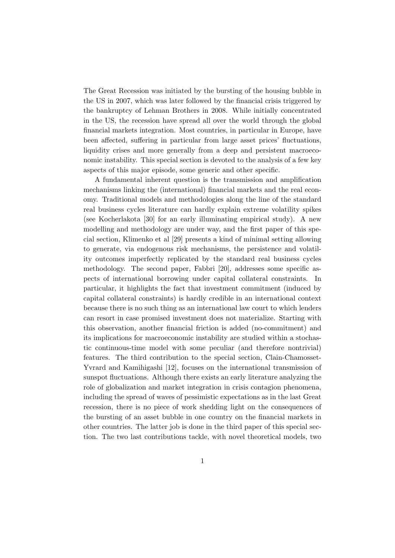The Great Recession was initiated by the bursting of the housing bubble in the US in 2007, which was later followed by the financial crisis triggered by the bankruptcy of Lehman Brothers in 2008. While initially concentrated in the US, the recession have spread all over the world through the global financial markets integration. Most countries, in particular in Europe, have been affected, suffering in particular from large asset prices' fluctuations, liquidity crises and more generally from a deep and persistent macroeconomic instability. This special section is devoted to the analysis of a few key aspects of this major episode, some generic and other specific.

A fundamental inherent question is the transmission and amplification mechanisms linking the (international) financial markets and the real economy. Traditional models and methodologies along the line of the standard real business cycles literature can hardly explain extreme volatility spikes (see Kocherlakota [30] for an early illuminating empirical study). A new modelling and methodology are under way, and the first paper of this special section, Klimenko et al [29] presents a kind of minimal setting allowing to generate, via endogenous risk mechanisms, the persistence and volatility outcomes imperfectly replicated by the standard real business cycles methodology. The second paper, Fabbri [20], addresses some specific aspects of international borrowing under capital collateral constraints. In particular, it highlights the fact that investment commitment (induced by capital collateral constraints) is hardly credible in an international context because there is no such thing as an international law court to which lenders can resort in case promised investment does not materialize. Starting with this observation, another financial friction is added (no-commitment) and its implications for macroeconomic instability are studied within a stochastic continuous-time model with some peculiar (and therefore nontrivial) features. The third contribution to the special section, Clain-Chamosset-Yvrard and Kamihigashi [12], focuses on the international transmission of sunspot fluctuations. Although there exists an early literature analyzing the role of globalization and market integration in crisis contagion phenomena, including the spread of waves of pessimistic expectations as in the last Great recession, there is no piece of work shedding light on the consequences of the bursting of an asset bubble in one country on the financial markets in other countries. The latter job is done in the third paper of this special section. The two last contributions tackle, with novel theoretical models, two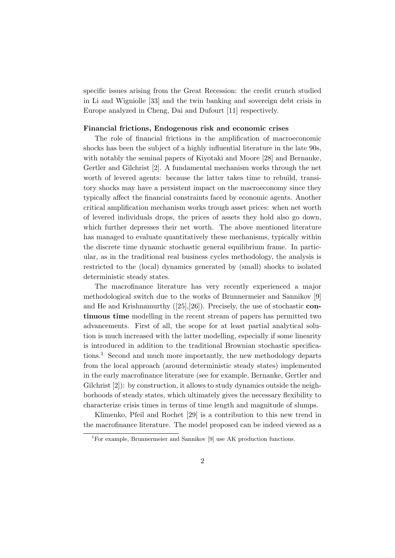specific issues arising from the Great Recession: the credit crunch studied in Li and Wigniolle [33] and the twin banking and sovereign debt crisis in Europe analyzed in Cheng, Dai and Dufourt [11] respectively.

#### Financial frictions, Endogenous risk and economic crises

The role of financial frictions in the amplification of macroeconomic shocks has been the subject of a highly influential literature in the late 90s, with notably the seminal papers of Kiyotaki and Moore [28] and Bernanke, Gertler and Gilchrist [2]. A fundamental mechanism works through the net worth of levered agents: because the latter takes time to rebuild, transitory shocks may have a persistent impact on the macroeconomy since they typically affect the financial constraints faced by economic agents. Another critical amplification mechanism works trough asset prices: when net worth of levered individuals drops, the prices of assets they hold also go down, which further depresses their net worth. The above mentioned literature has managed to evaluate quantitatively these mechanisms, typically within the discrete time dynamic stochastic general equilibrium frame. In particular, as in the traditional real business cycles methodology, the analysis is restricted to the (local) dynamics generated by (small) shocks to isolated deterministic steady states.

The macrofinance literature has very recently experienced a major methodological switch due to the works of Brunnermeier and Sannikov [9] and He and Krishnamurthy  $([25],[26])$ . Precisely, the use of stochastic **con**tinuous time modelling in the recent stream of papers has permitted two advancements. First of all, the scope for at least partial analytical solution is much increased with the latter modelling, especially if some linearity is introduced in addition to the traditional Brownian stochastic specifications.<sup>1</sup> Second and much more importantly, the new methodology departs from the local approach (around deterministic steady states) implemented in the early macrofinance literature (see for example, Bernanke, Gertler and Gilchrist [2]): by construction, it allows to study dynamics outside the neighborhoods of steady states, which ultimately gives the necessary flexibility to characterize crisis times in terms of time length and magnitude of slumps.

Klimenko, Pfeil and Rochet [29] is a contribution to this new trend in the macrofinance literature. The model proposed can be indeed viewed as a

<sup>&</sup>lt;sup>1</sup>For example, Brunnermeier and Sannikov [9] use AK production functions.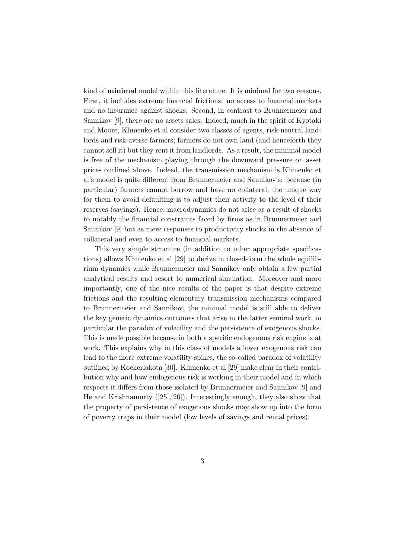kind of minimal model within this literature. It is minimal for two reasons. First, it includes extreme financial frictions: no access to financial markets and no insurance against shocks. Second, in contrast to Brunnermeier and Sannikov [9], there are no assets sales. Indeed, much in the spirit of Kyotaki and Moore, Klimenko et al consider two classes of agents, risk-neutral landlords and risk-averse farmers; farmers do not own land (and henceforth they cannot sell it) but they rent it from landlords. As a result, the minimal model is free of the mechanism playing through the downward pressure on asset prices outlined above. Indeed, the transmission mechanism is Klimenko et al's model is quite different from Brunnermeier and Sannikov's: because (in particular) farmers cannot borrow and have no collateral, the unique way for them to avoid defaulting is to adjust their activity to the level of their reserves (savings). Hence, macrodynamics do not arise as a result of shocks to notably the financial constraints faced by firms as in Brunnermeier and Sannikov [9] but as mere responses to productivity shocks in the absence of collateral and even to access to financial markets.

This very simple structure (in addition to other appropriate specifications) allows Klimenko et al [29] to derive in closed-form the whole equilibrium dynamics while Brunnermeier and Sannikov only obtain a few partial analytical results and resort to numerical simulation. Moreover and more importantly, one of the nice results of the paper is that despite extreme frictions and the resulting elementary transmission mechanisms compared to Brunnermeier and Sannikov, the minimal model is still able to deliver the key generic dynamics outcomes that arise in the latter seminal work, in particular the paradox of volatility and the persistence of exogenous shocks. This is made possible because in both a specific endogenous risk engine is at work. This explains why in this class of models a lower exogenous risk can lead to the more extreme volatility spikes, the so-called paradox of volatility outlined by Kocherlakota [30]. Klimenko et al [29] make clear in their contribution why and how endogenous risk is working in their model and in which respects it differs from those isolated by Brunnermeier and Sannikov [9] and He and Krishnamurty ([25],[26]). Interestingly enough, they also show that the property of persistence of exogenous shocks may show up into the form of poverty traps in their model (low levels of savings and rental prices).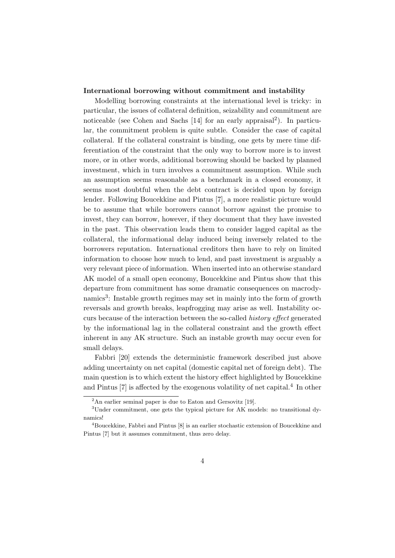#### International borrowing without commitment and instability

Modelling borrowing constraints at the international level is tricky: in particular, the issues of collateral definition, seizability and commitment are noticeable (see Cohen and Sachs  $[14]$  for an early appraisal<sup>2</sup>). In particular, the commitment problem is quite subtle. Consider the case of capital collateral. If the collateral constraint is binding, one gets by mere time differentiation of the constraint that the only way to borrow more is to invest more, or in other words, additional borrowing should be backed by planned investment, which in turn involves a commitment assumption. While such an assumption seems reasonable as a benchmark in a closed economy, it seems most doubtful when the debt contract is decided upon by foreign lender. Following Boucekkine and Pintus [7], a more realistic picture would be to assume that while borrowers cannot borrow against the promise to invest, they can borrow, however, if they document that they have invested in the past. This observation leads them to consider lagged capital as the collateral, the informational delay induced being inversely related to the borrowers reputation. International creditors then have to rely on limited information to choose how much to lend, and past investment is arguably a very relevant piece of information. When inserted into an otherwise standard AK model of a small open economy, Boucekkine and Pintus show that this departure from commitment has some dramatic consequences on macrodynamics<sup>3</sup>: Instable growth regimes may set in mainly into the form of growth reversals and growth breaks, leapfrogging may arise as well. Instability occurs because of the interaction between the so-called history effect generated by the informational lag in the collateral constraint and the growth effect inherent in any AK structure. Such an instable growth may occur even for small delays.

Fabbri [20] extends the deterministic framework described just above adding uncertainty on net capital (domestic capital net of foreign debt). The main question is to which extent the history effect highlighted by Boucekkine and Pintus [7] is affected by the exogenous volatility of net capital.<sup>4</sup> In other

 $2^2$ An earlier seminal paper is due to Eaton and Gersovitz [19].

<sup>&</sup>lt;sup>3</sup>Under commitment, one gets the typical picture for AK models: no transitional dynamics!

<sup>4</sup>Boucekkine, Fabbri and Pintus [8] is an earlier stochastic extension of Boucekkine and Pintus [7] but it assumes commitment, thus zero delay.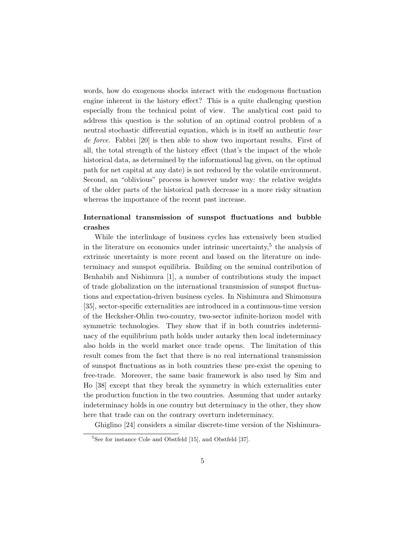words, how do exogenous shocks interact with the endogenous fluctuation engine inherent in the history effect? This is a quite challenging question especially from the technical point of view. The analytical cost paid to address this question is the solution of an optimal control problem of a neutral stochastic differential equation, which is in itself an authentic tour de force. Fabbri [20] is then able to show two important results. First of all, the total strength of the history effect (that's the impact of the whole historical data, as determined by the informational lag given, on the optimal path for net capital at any date) is not reduced by the volatile environment. Second, an "oblivious" process is however under way: the relative weights of the older parts of the historical path decrease in a more risky situation whereas the importance of the recent past increase.

### International transmission of sunspot fluctuations and bubble crashes

While the interlinkage of business cycles has extensively been studied in the literature on economics under intrinsic uncertainty,<sup>5</sup> the analysis of extrinsic uncertainty is more recent and based on the literature on indeterminacy and sunspot equilibria. Building on the seminal contribution of Benhabib and Nishimura [1], a number of contributions study the impact of trade globalization on the international transmission of sunspot fluctuations and expectation-driven business cycles. In Nishimura and Shimomura [35], sector-specific externalities are introduced in a continuous-time version of the Hecksher-Ohlin two-country, two-sector infinite-horizon model with symmetric technologies. They show that if in both countries indeterminacy of the equilibrium path holds under autarky then local indeterminacy also holds in the world market once trade opens. The limitation of this result comes from the fact that there is no real international transmission of sunspot fluctuations as in both countries these pre-exist the opening to free-trade. Moreover, the same basic framework is also used by Sim and Ho [38] except that they break the symmetry in which externalities enter the production function in the two countries. Assuming that under autarky indeterminacy holds in one country but determinacy in the other, they show here that trade can on the contrary overturn indeterminacy.

Ghiglino [24] considers a similar discrete-time version of the Nishimura-

<sup>&</sup>lt;sup>5</sup>See for instance Cole and Obstfeld [15], and Obstfeld [37].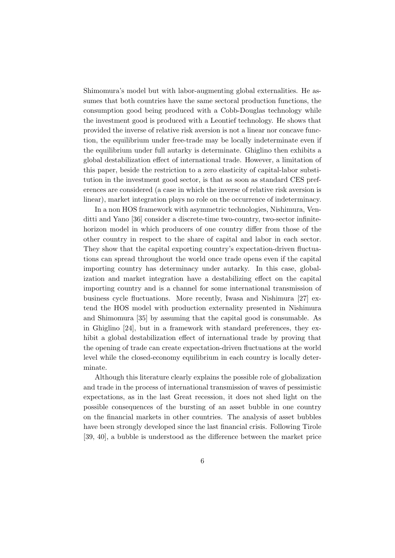Shimomura's model but with labor-augmenting global externalities. He assumes that both countries have the same sectoral production functions, the consumption good being produced with a Cobb-Douglas technology while the investment good is produced with a Leontief technology. He shows that provided the inverse of relative risk aversion is not a linear nor concave function, the equilibrium under free-trade may be locally indeterminate even if the equilibrium under full autarky is determinate. Ghiglino then exhibits a global destabilization effect of international trade. However, a limitation of this paper, beside the restriction to a zero elasticity of capital-labor substitution in the investment good sector, is that as soon as standard CES preferences are considered (a case in which the inverse of relative risk aversion is linear), market integration plays no role on the occurrence of indeterminacy.

In a non HOS framework with asymmetric technologies, Nishimura, Venditti and Yano [36] consider a discrete-time two-country, two-sector infinitehorizon model in which producers of one country differ from those of the other country in respect to the share of capital and labor in each sector. They show that the capital exporting country's expectation-driven fluctuations can spread throughout the world once trade opens even if the capital importing country has determinacy under autarky. In this case, globalization and market integration have a destabilizing effect on the capital importing country and is a channel for some international transmission of business cycle fluctuations. More recently, Iwasa and Nishimura [27] extend the HOS model with production externality presented in Nishimura and Shimomura [35] by assuming that the capital good is consumable. As in Ghiglino [24], but in a framework with standard preferences, they exhibit a global destabilization effect of international trade by proving that the opening of trade can create expectation-driven fluctuations at the world level while the closed-economy equilibrium in each country is locally determinate.

Although this literature clearly explains the possible role of globalization and trade in the process of international transmission of waves of pessimistic expectations, as in the last Great recession, it does not shed light on the possible consequences of the bursting of an asset bubble in one country on the financial markets in other countries. The analysis of asset bubbles have been strongly developed since the last financial crisis. Following Tirole [39, 40], a bubble is understood as the difference between the market price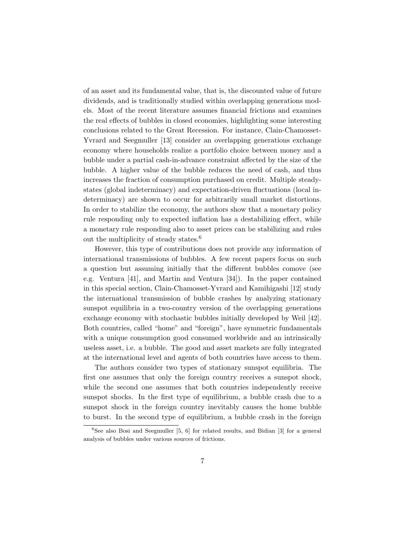of an asset and its fundamental value, that is, the discounted value of future dividends, and is traditionally studied within overlapping generations models. Most of the recent literature assumes financial frictions and examines the real effects of bubbles in closed economies, highlighting some interesting conclusions related to the Great Recession. For instance, Clain-Chamosset-Yvrard and Seegmuller [13] consider an overlapping generations exchange economy where households realize a portfolio choice between money and a bubble under a partial cash-in-advance constraint affected by the size of the bubble. A higher value of the bubble reduces the need of cash, and thus increases the fraction of consumption purchased on credit. Multiple steadystates (global indeterminacy) and expectation-driven fluctuations (local indeterminacy) are shown to occur for arbitrarily small market distortions. In order to stabilize the economy, the authors show that a monetary policy rule responding only to expected inflation has a destabilizing effect, while a monetary rule responding also to asset prices can be stabilizing and rules out the multiplicity of steady states.<sup>6</sup>

However, this type of contributions does not provide any information of international transmissions of bubbles. A few recent papers focus on such a question but assuming initially that the different bubbles comove (see e.g. Ventura [41], and Martin and Ventura [34]). In the paper contained in this special section, Clain-Chamosset-Yvrard and Kamihigashi [12] study the international transmission of bubble crashes by analyzing stationary sunspot equilibria in a two-country version of the overlapping generations exchange economy with stochastic bubbles initially developed by Weil [42]. Both countries, called "home" and "foreign", have symmetric fundamentals with a unique consumption good consumed worldwide and an intrinsically useless asset, i.e. a bubble. The good and asset markets are fully integrated at the international level and agents of both countries have access to them.

The authors consider two types of stationary sunspot equilibria. The first one assumes that only the foreign country receives a sunspot shock, while the second one assumes that both countries independently receive sunspot shocks. In the first type of equilibrium, a bubble crash due to a sunspot shock in the foreign country inevitably causes the home bubble to burst. In the second type of equilibrium, a bubble crash in the foreign

 ${}^{6}$ See also Bosi and Seegmuller [5, 6] for related results, and Bidian [3] for a general analysis of bubbles under various sources of frictions.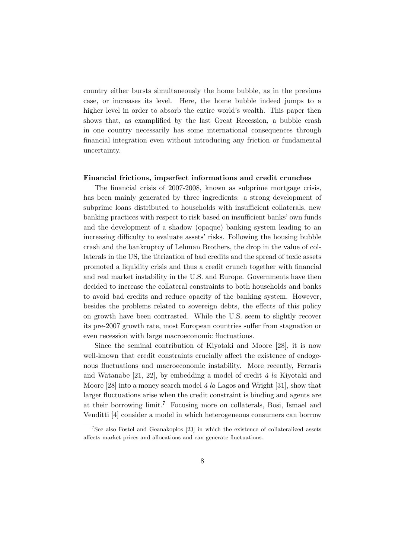country either bursts simultaneously the home bubble, as in the previous case, or increases its level. Here, the home bubble indeed jumps to a higher level in order to absorb the entire world's wealth. This paper then shows that, as examplified by the last Great Recession, a bubble crash in one country necessarily has some international consequences through financial integration even without introducing any friction or fundamental uncertainty.

#### Financial frictions, imperfect informations and credit crunches

The financial crisis of 2007-2008, known as subprime mortgage crisis, has been mainly generated by three ingredients: a strong development of subprime loans distributed to households with insufficient collaterals, new banking practices with respect to risk based on insufficient banks' own funds and the development of a shadow (opaque) banking system leading to an increasing difficulty to evaluate assets' risks. Following the housing bubble crash and the bankruptcy of Lehman Brothers, the drop in the value of collaterals in the US, the titrization of bad credits and the spread of toxic assets promoted a liquidity crisis and thus a credit crunch together with financial and real market instability in the U.S. and Europe. Governments have then decided to increase the collateral constraints to both households and banks to avoid bad credits and reduce opacity of the banking system. However, besides the problems related to sovereign debts, the effects of this policy on growth have been contrasted. While the U.S. seem to slightly recover its pre-2007 growth rate, most European countries suffer from stagnation or even recession with large macroeconomic fluctuations.

Since the seminal contribution of Kiyotaki and Moore [28], it is now well-known that credit constraints crucially affect the existence of endogenous fluctuations and macroeconomic instability. More recently, Ferraris and Watanabe [21, 22], by embedding a model of credit  $\dot{a}$  la Kiyotaki and Moore [28] into a money search model  $\dot{a}$  la Lagos and Wright [31], show that larger fluctuations arise when the credit constraint is binding and agents are at their borrowing limit.<sup>7</sup> Focusing more on collaterals, Bosi, Ismael and Venditti [4] consider a model in which heterogeneous consumers can borrow

<sup>7</sup>See also Fostel and Geanakoplos [23] in which the existence of collateralized assets affects market prices and allocations and can generate fluctuations.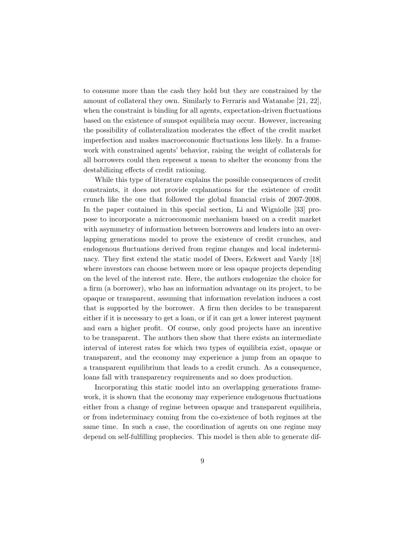to consume more than the cash they hold but they are constrained by the amount of collateral they own. Similarly to Ferraris and Watanabe [21, 22], when the constraint is binding for all agents, expectation-driven fluctuations based on the existence of sunspot equilibria may occur. However, increasing the possibility of collateralization moderates the effect of the credit market imperfection and makes macroeconomic fluctuations less likely. In a framework with constrained agents' behavior, raising the weight of collaterals for all borrowers could then represent a mean to shelter the economy from the destabilizing effects of credit rationing.

While this type of literature explains the possible consequences of credit constraints, it does not provide explanations for the existence of credit crunch like the one that followed the global financial crisis of 2007-2008. In the paper contained in this special section, Li and Wigniolle [33] propose to incorporate a microeconomic mechanism based on a credit market with asymmetry of information between borrowers and lenders into an overlapping generations model to prove the existence of credit crunches, and endogenous fluctuations derived from regime changes and local indeterminacy. They first extend the static model of Deers, Eckwert and Vardy [18] where investors can choose between more or less opaque projects depending on the level of the interest rate. Here, the authors endogenize the choice for a firm (a borrower), who has an information advantage on its project, to be opaque or transparent, assuming that information revelation induces a cost that is supported by the borrower. A firm then decides to be transparent either if it is necessary to get a loan, or if it can get a lower interest payment and earn a higher profit. Of course, only good projects have an incentive to be transparent. The authors then show that there exists an intermediate interval of interest rates for which two types of equilibria exist, opaque or transparent, and the economy may experience a jump from an opaque to a transparent equilibrium that leads to a credit crunch. As a consequence, loans fall with transparency requirements and so does production.

Incorporating this static model into an overlapping generations framework, it is shown that the economy may experience endogenous fluctuations either from a change of regime between opaque and transparent equilibria, or from indeterminacy coming from the co-existence of both regimes at the same time. In such a case, the coordination of agents on one regime may depend on self-fulfilling prophecies. This model is then able to generate dif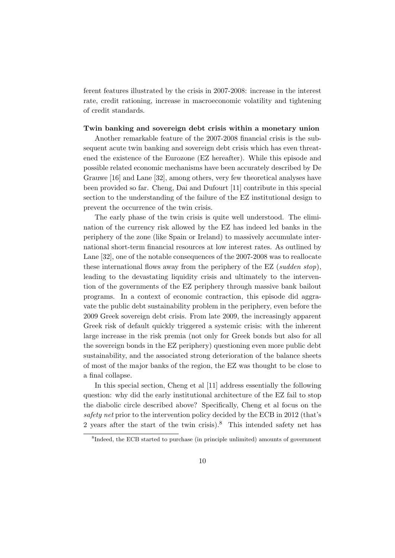ferent features illustrated by the crisis in 2007-2008: increase in the interest rate, credit rationing, increase in macroeconomic volatility and tightening of credit standards.

#### Twin banking and sovereign debt crisis within a monetary union

Another remarkable feature of the 2007-2008 financial crisis is the subsequent acute twin banking and sovereign debt crisis which has even threatened the existence of the Eurozone (EZ hereafter). While this episode and possible related economic mechanisms have been accurately described by De Grauwe [16] and Lane [32], among others, very few theoretical analyses have been provided so far. Cheng, Dai and Dufourt [11] contribute in this special section to the understanding of the failure of the EZ institutional design to prevent the occurrence of the twin crisis.

The early phase of the twin crisis is quite well understood. The elimination of the currency risk allowed by the EZ has indeed led banks in the periphery of the zone (like Spain or Ireland) to massively accumulate international short-term financial resources at low interest rates. As outlined by Lane [32], one of the notable consequences of the 2007-2008 was to reallocate these international flows away from the periphery of the EZ (sudden stop), leading to the devastating liquidity crisis and ultimately to the intervention of the governments of the EZ periphery through massive bank bailout programs. In a context of economic contraction, this episode did aggravate the public debt sustainability problem in the periphery, even before the 2009 Greek sovereign debt crisis. From late 2009, the increasingly apparent Greek risk of default quickly triggered a systemic crisis: with the inherent large increase in the risk premia (not only for Greek bonds but also for all the sovereign bonds in the EZ periphery) questioning even more public debt sustainability, and the associated strong deterioration of the balance sheets of most of the major banks of the region, the EZ was thought to be close to a final collapse.

In this special section, Cheng et al [11] address essentially the following question: why did the early institutional architecture of the EZ fail to stop the diabolic circle described above? Specifically, Cheng et al focus on the safety net prior to the intervention policy decided by the ECB in 2012 (that's 2 years after the start of the twin crisis).<sup>8</sup> This intended safety net has

<sup>&</sup>lt;sup>8</sup>Indeed, the ECB started to purchase (in principle unlimited) amounts of government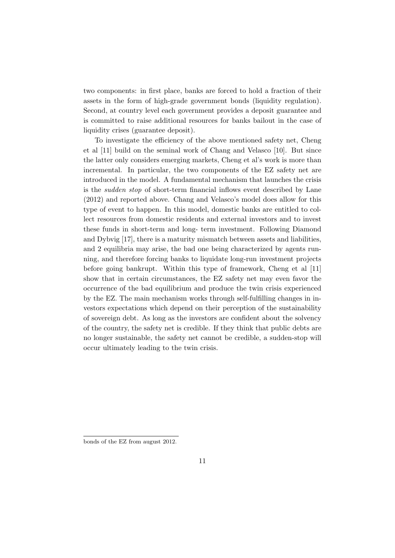two components: in first place, banks are forced to hold a fraction of their assets in the form of high-grade government bonds (liquidity regulation). Second, at country level each government provides a deposit guarantee and is committed to raise additional resources for banks bailout in the case of liquidity crises (guarantee deposit).

To investigate the efficiency of the above mentioned safety net, Cheng et al [11] build on the seminal work of Chang and Velasco [10]. But since the latter only considers emerging markets, Cheng et al's work is more than incremental. In particular, the two components of the EZ safety net are introduced in the model. A fundamental mechanism that launches the crisis is the sudden stop of short-term financial inflows event described by Lane (2012) and reported above. Chang and Velasco's model does allow for this type of event to happen. In this model, domestic banks are entitled to collect resources from domestic residents and external investors and to invest these funds in short-term and long- term investment. Following Diamond and Dybvig [17], there is a maturity mismatch between assets and liabilities, and 2 equilibria may arise, the bad one being characterized by agents running, and therefore forcing banks to liquidate long-run investment projects before going bankrupt. Within this type of framework, Cheng et al [11] show that in certain circumstances, the EZ safety net may even favor the occurrence of the bad equilibrium and produce the twin crisis experienced by the EZ. The main mechanism works through self-fulfilling changes in investors expectations which depend on their perception of the sustainability of sovereign debt. As long as the investors are confident about the solvency of the country, the safety net is credible. If they think that public debts are no longer sustainable, the safety net cannot be credible, a sudden-stop will occur ultimately leading to the twin crisis.

bonds of the EZ from august 2012.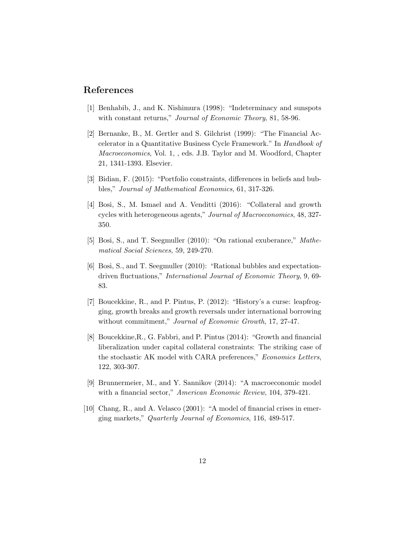# References

- [1] Benhabib, J., and K. Nishimura (1998): "Indeterminacy and sunspots with constant returns," Journal of Economic Theory, 81, 58-96.
- [2] Bernanke, B., M. Gertler and S. Gilchrist (1999): "The Financial Accelerator in a Quantitative Business Cycle Framework." In Handbook of Macroeconomics, Vol. 1, , eds. J.B. Taylor and M. Woodford, Chapter 21, 1341-1393. Elsevier.
- [3] Bidian, F. (2015): "Portfolio constraints, differences in beliefs and bubbles," Journal of Mathematical Economics, 61, 317-326.
- [4] Bosi, S., M. Ismael and A. Venditti (2016): "Collateral and growth cycles with heterogeneous agents," Journal of Macroeconomics, 48, 327- 350.
- [5] Bosi, S., and T. Seegmuller (2010): "On rational exuberance," Mathematical Social Sciences, 59, 249-270.
- [6] Bosi, S., and T. Seegmuller (2010): "Rational bubbles and expectationdriven fluctuations," International Journal of Economic Theory, 9, 69- 83.
- [7] Boucekkine, R., and P. Pintus, P. (2012): "History's a curse: leapfrogging, growth breaks and growth reversals under international borrowing without commitment," Journal of Economic Growth, 17, 27-47.
- [8] Boucekkine,R., G. Fabbri, and P. Pintus (2014): "Growth and financial liberalization under capital collateral constraints: The striking case of the stochastic AK model with CARA preferences," Economics Letters, 122, 303-307.
- [9] Brunnermeier, M., and Y. Sannikov (2014): "A macroeconomic model with a financial sector," American Economic Review, 104, 379-421.
- [10] Chang, R., and A. Velasco (2001): "A model of financial crises in emerging markets," Quarterly Journal of Economics, 116, 489-517.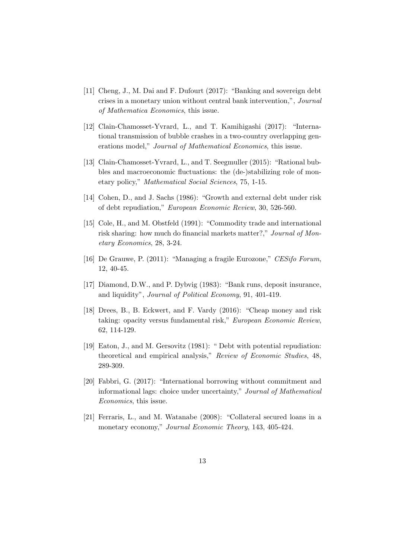- [11] Cheng, J., M. Dai and F. Dufourt (2017): "Banking and sovereign debt crises in a monetary union without central bank intervention,", Journal of Mathematica Economics, this issue.
- [12] Clain-Chamosset-Yvrard, L., and T. Kamihigashi (2017): "International transmission of bubble crashes in a two-country overlapping generations model," Journal of Mathematical Economics, this issue.
- [13] Clain-Chamosset-Yvrard, L., and T. Seegmuller (2015): "Rational bubbles and macroeconomic fluctuations: the (de-)stabilizing role of monetary policy," Mathematical Social Sciences, 75, 1-15.
- [14] Cohen, D., and J. Sachs (1986): "Growth and external debt under risk of debt repudiation," European Economic Review, 30, 526-560.
- [15] Cole, H., and M. Obstfeld (1991): "Commodity trade and international risk sharing: how much do financial markets matter?," Journal of Monetary Economics, 28, 3-24.
- [16] De Grauwe, P. (2011): "Managing a fragile Eurozone," CESifo Forum, 12, 40-45.
- [17] Diamond, D.W., and P. Dybvig (1983): "Bank runs, deposit insurance, and liquidity", Journal of Political Economy, 91, 401-419.
- [18] Drees, B., B. Eckwert, and F. Vardy (2016): "Cheap money and risk taking: opacity versus fundamental risk," European Economic Review, 62, 114-129.
- [19] Eaton, J., and M. Gersovitz (1981): " Debt with potential repudiation: theoretical and empirical analysis," Review of Economic Studies, 48, 289-309.
- [20] Fabbri, G. (2017): "International borrowing without commitment and informational lags: choice under uncertainty," Journal of Mathematical Economics, this issue.
- [21] Ferraris, L., and M. Watanabe (2008): "Collateral secured loans in a monetary economy," Journal Economic Theory, 143, 405-424.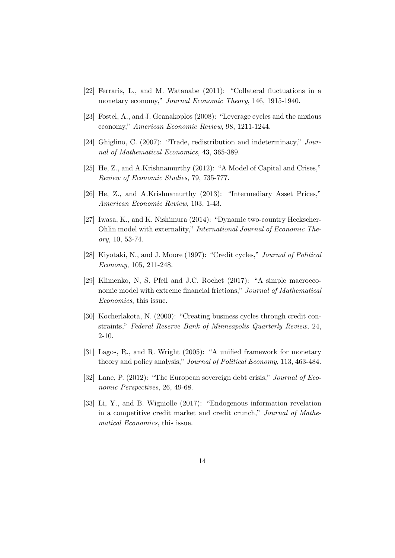- [22] Ferraris, L., and M. Watanabe (2011): "Collateral fluctuations in a monetary economy," Journal Economic Theory, 146, 1915-1940.
- [23] Fostel, A., and J. Geanakoplos (2008): "Leverage cycles and the anxious economy," American Economic Review, 98, 1211-1244.
- [24] Ghiglino, C. (2007): "Trade, redistribution and indeterminacy," Journal of Mathematical Economics, 43, 365-389.
- [25] He, Z., and A.Krishnamurthy (2012): "A Model of Capital and Crises," Review of Economic Studies, 79, 735-777.
- [26] He, Z., and A.Krishnamurthy (2013): "Intermediary Asset Prices," American Economic Review, 103, 1-43.
- [27] Iwasa, K., and K. Nishimura (2014): "Dynamic two-country Heckscher-Ohlin model with externality," International Journal of Economic Theory, 10, 53-74.
- [28] Kiyotaki, N., and J. Moore (1997): "Credit cycles," Journal of Political Economy, 105, 211-248.
- [29] Klimenko, N, S. Pfeil and J.C. Rochet (2017): "A simple macroeconomic model with extreme financial frictions," Journal of Mathematical Economics, this issue.
- [30] Kocherlakota, N. (2000): "Creating business cycles through credit constraints," Federal Reserve Bank of Minneapolis Quarterly Review, 24, 2-10.
- [31] Lagos, R., and R. Wright (2005): "A unified framework for monetary theory and policy analysis," *Journal of Political Economy*, 113, 463-484.
- [32] Lane, P. (2012): "The European sovereign debt crisis," Journal of Economic Perspectives, 26, 49-68.
- [33] Li, Y., and B. Wigniolle (2017): "Endogenous information revelation in a competitive credit market and credit crunch," Journal of Mathematical Economics, this issue.